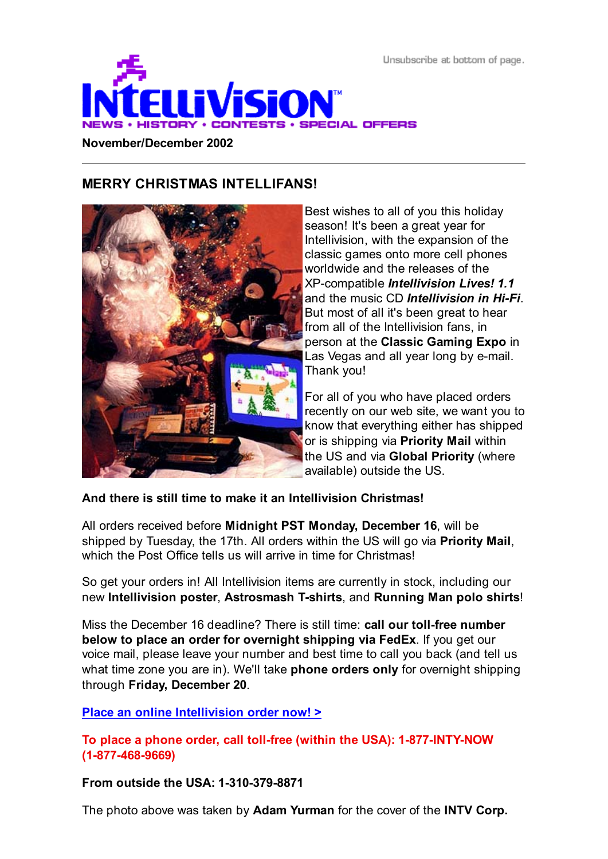Unsubscribe at bottom of page.



**November/December 2002**

#### **MERRY CHRISTMAS INTELLIFANS!**



Best wishes to all of you this holiday season! It's been a great year for Intellivision, with the expansion of the classic games onto more cell phones worldwide and the releases of the XP-compatible *Intellivision Lives! 1.1* and the music CD *Intellivision in Hi-Fi*. But most of all it's been great to hear from all of the Intellivision fans, in person at the **Classic Gaming Expo** in Las Vegas and all year long by e-mail. Thank you!

For all of you who have placed orders recently on our web site, we want you to know that everything either has shipped or is shipping via **Priority Mail** within the US and via **Global Priority** (where available) outside the US.

**And there is still time to make it an Intellivision Christmas!**

All orders received before **Midnight PST Monday, December 16**, will be shipped by Tuesday, the 17th. All orders within the US will go via **Priority Mail**, which the Post Office tells us will arrive in time for Christmas!

So get your orders in! All Intellivision items are currently in stock, including our new **Intellivision poster**, **Astrosmash T-shirts**, and **Running Man polo shirts**!

Miss the December 16 deadline? There is still time: **call our toll-free number below to place an order for overnight shipping via FedEx**. If you get our voice mail, please leave your number and best time to call you back (and tell us what time zone you are in). We'll take **phone orders only** for overnight shipping through **Friday, December 20**.

#### **Place an online Intellivision order now! >**

**To place a phone order, call toll-free (within the USA): 1-877-INTY-NOW (1-877-468-9669)**

**From outside the USA: 1-310-379-8871**

The photo above was taken by **Adam Yurman** for the cover of the **INTV Corp.**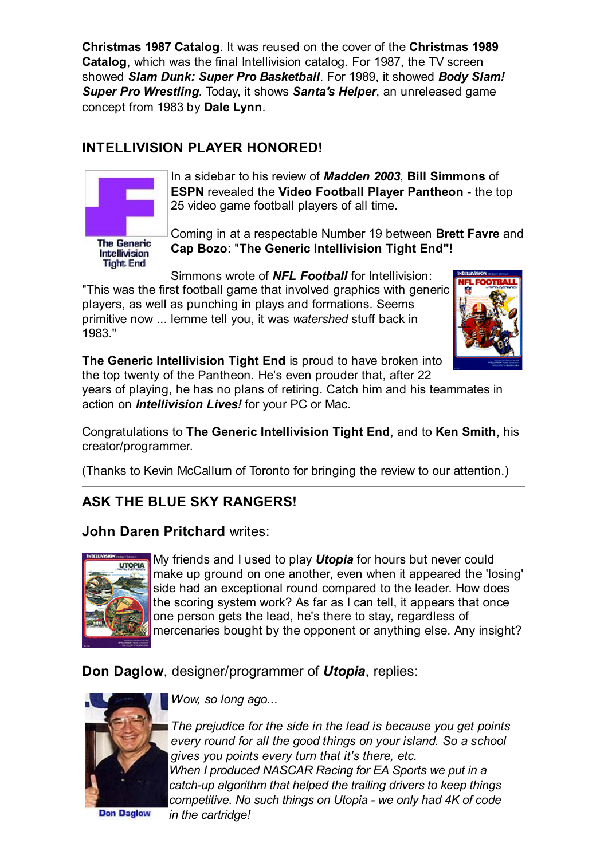**Christmas 1987 Catalog**. It was reused on the cover of the **Christmas 1989 Catalog**, which was the final Intellivision catalog. For 1987, the TV screen showed *Slam Dunk: Super Pro Basketball*. For 1989, it showed *Body Slam! Super Pro Wrestling*. Today, it shows *Santa's Helper*, an unreleased game concept from 1983 by **Dale Lynn**.

## **INTELLIVISION PLAYER HONORED!**



In a sidebar to his review of *Madden 2003*, **Bill Simmons** of **ESPN** revealed the **Video Football Player Pantheon** - the top 25 video game football players of all time.

**The Generic** Intellivision **Tight End** 

Coming in at a respectable Number 19 between **Brett Favre** and **Cap Bozo**: "**The Generic Intellivision Tight End"!**

Simmons wrote of *NFL Football* for Intellivision: "This was the first football game that involved graphics with generic players, as well as punching in plays and formations. Seems primitive now ... lemme tell you, it was *watershed* stuff back in 1983."



**The Generic Intellivision Tight End** is proud to have broken into the top twenty of the Pantheon. He's even prouder that, after 22

years of playing, he has no plans of retiring. Catch him and his teammates in action on *Intellivision Lives!* for your PC or Mac.

Congratulations to **The Generic Intellivision Tight End**, and to **Ken Smith**, his creator/programmer.

(Thanks to Kevin McCallum of Toronto for bringing the review to our attention.)

## **ASK THE BLUE SKY RANGERS!**

## **John Daren Pritchard** writes:



My friends and I used to play *Utopia* for hours but never could make up ground on one another, even when it appeared the 'losing' side had an exceptional round compared to the leader. How does the scoring system work? As far as I can tell, it appears that once one person gets the lead, he's there to stay, regardless of mercenaries bought by the opponent or anything else. Any insight?

**Don Daglow**, designer/programmer of *Utopia*, replies:



*Wow, so long ago...*

*The prejudice for the side in the lead is because you get points every round for all the good things on your island. So a school gives you points every turn that it's there, etc. When I produced NASCAR Racing for EA Sports we put in a catch-up algorithm that helped the trailing drivers to keep things competitive. No such things on Utopia - we only had 4K of code*

 *in the cartridge!*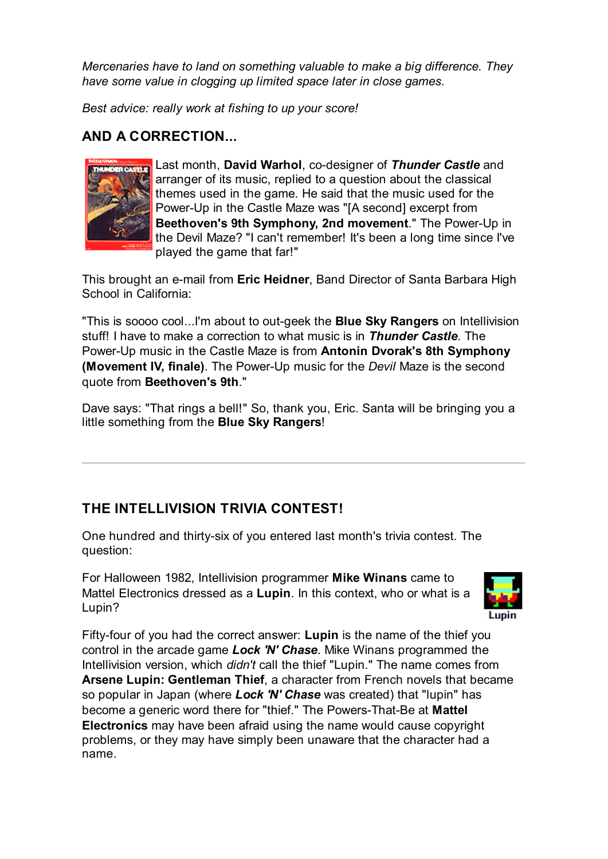*Mercenaries have to land on something valuable to make a big difference. They have some value in clogging up limited space later in close games.*

*Best advice: really work at fishing to up your score!*

## **AND A CORRECTION...**



Last month, **David Warhol**, co-designer of *Thunder Castle* and arranger of its music, replied to a question about the classical themes used in the game. He said that the music used for the Power-Up in the Castle Maze was "[A second] excerpt from **Beethoven's 9th Symphony, 2nd movement**." The Power-Up in the Devil Maze? "I can't remember! It's been a long time since I've played the game that far!"

This brought an e-mail from **Eric Heidner**, Band Director of Santa Barbara High School in California:

"This is soooo cool...I'm about to out-geek the **Blue Sky Rangers** on Intellivision stuff! I have to make a correction to what music is in *Thunder Castle*. The Power-Up music in the Castle Maze is from **Antonin Dvorak's 8th Symphony (Movement IV, finale)**. The Power-Up music for the *Devil* Maze is the second quote from **Beethoven's 9th**."

Dave says: "That rings a bell!" So, thank you, Eric. Santa will be bringing you a little something from the **Blue Sky Rangers**!

# **THE INTELLIVISION TRIVIA CONTEST!**

One hundred and thirty-six of you entered last month's trivia contest. The question:

For Halloween 1982, Intellivision programmer **Mike Winans** came to Mattel Electronics dressed as a **Lupin**. In this context, who or what is a Lupin?



Fifty-four of you had the correct answer: **Lupin** is the name of the thief you control in the arcade game *Lock 'N' Chase*. Mike Winans programmed the Intellivision version, which *didn't* call the thief "Lupin." The name comes from **Arsene Lupin: Gentleman Thief**, a character from French novels that became so popular in Japan (where *Lock 'N' Chase* was created) that "lupin" has become a generic word there for "thief." The Powers-That-Be at **Mattel Electronics** may have been afraid using the name would cause copyright problems, or they may have simply been unaware that the character had a name.